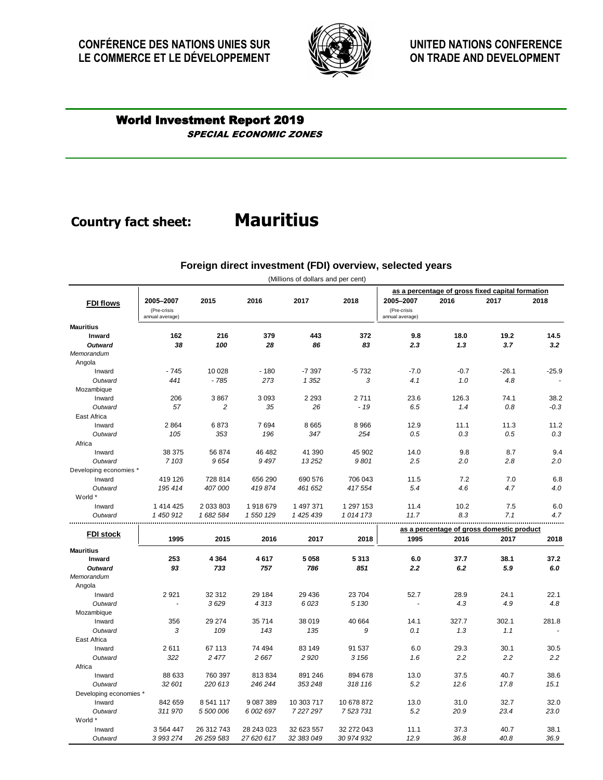## **Country fact sheet:**

## SPECIAL ECONOMIC ZONES World Investment Report 2019

|                        |                                             |                |            | (Millions of dollars and per cent) |             |                                                  |        |         |         |  |
|------------------------|---------------------------------------------|----------------|------------|------------------------------------|-------------|--------------------------------------------------|--------|---------|---------|--|
|                        |                                             |                |            |                                    |             | as a percentage of gross fixed capital formation |        |         |         |  |
| <b>FDI flows</b>       | 2005-2007<br>(Pre-crisis<br>annual average) | 2015           | 2016       | 2017                               | 2018        | 2005-2007<br>(Pre-crisis<br>annual average)      | 2016   | 2017    | 2018    |  |
| <b>Mauritius</b>       |                                             |                |            |                                    |             |                                                  |        |         |         |  |
| <b>Inward</b>          | 162                                         | 216            | 379        | 443                                | 372         | 9.8                                              | 18.0   | 19.2    | 14.5    |  |
| <b>Outward</b>         | 38                                          | 100            | 28         | 86                                 | 83          | 2.3                                              | 1.3    | 3.7     | 3.2     |  |
| Memorandum             |                                             |                |            |                                    |             |                                                  |        |         |         |  |
| Angola                 |                                             |                |            |                                    |             |                                                  |        |         |         |  |
| Inward                 | $-745$                                      | 10 0 28        | $-180$     | $-7397$                            | $-5732$     | $-7.0$                                           | $-0.7$ | $-26.1$ | $-25.9$ |  |
| Outward                | 441                                         | $-785$         | 273        | 1 3 5 2                            | 3           | 4.1                                              | 1.0    | 4.8     |         |  |
| Mozambique             |                                             |                |            |                                    |             |                                                  |        |         |         |  |
| Inward                 | 206                                         | 3867           | 3 0 9 3    | 2 2 9 3                            | 2711        | 23.6                                             | 126.3  | 74.1    | 38.2    |  |
| Outward                | 57                                          | $\overline{c}$ | 35         | 26                                 | $-19$       | 6.5                                              | 1.4    | 0.8     | $-0.3$  |  |
| East Africa            |                                             |                |            |                                    |             |                                                  |        |         |         |  |
| Inward                 | 2 8 6 4                                     | 6873           | 7694       | 8 6 6 5                            | 8 9 6 6     | 12.9                                             | 11.1   | 11.3    | 11.2    |  |
| Outward                | 105                                         | 353            | 196        | 347                                | 254         | 0.5                                              | 0.3    | 0.5     | 0.3     |  |
| Africa                 |                                             |                |            |                                    |             |                                                  |        |         |         |  |
| Inward                 | 38 375                                      | 56 874         | 46 482     | 41 390                             | 45 902      | 14.0                                             | 9.8    | 8.7     | 9.4     |  |
| Outward                | 7 1 0 3                                     | 9654           | 9497       | 13252                              | 9801        | 2.5                                              | 2.0    | 2.8     | 2.0     |  |
| Developing economies * |                                             |                |            |                                    |             |                                                  |        |         |         |  |
| Inward                 | 419 126                                     | 728 814        | 656 290    | 690 576                            | 706 043     | 11.5                                             | 7.2    | 7.0     | 6.8     |  |
| Outward                | 195 414                                     | 407 000        | 419874     | 461 652                            | 417 554     | 5.4                                              | 4.6    | 4.7     | 4.0     |  |
| World *                |                                             |                |            |                                    |             |                                                  |        |         |         |  |
| Inward                 | 1 414 425                                   | 2 0 3 8 0 3    | 1918679    | 1 497 371                          | 1 297 153   | 11.4                                             | 10.2   | 7.5     | 6.0     |  |
| Outward                | 1 450 912                                   | 1 682 584      | 1 550 129  | 1425439                            | 1014 173    | 11.7                                             | 8.3    | 7.1     | 4.7     |  |
| <b>FDI stock</b>       |                                             |                |            |                                    |             | as a percentage of gross domestic product        |        |         |         |  |
|                        | 1995                                        | 2015           | 2016       | 2017                               | 2018        | 1995                                             | 2016   | 2017    | 2018    |  |
| <b>Mauritius</b>       |                                             |                |            |                                    |             |                                                  |        |         |         |  |
| Inward                 | 253                                         | 4 3 6 4        | 4617       | 5 0 5 8                            | 5 3 1 3     | 6.0                                              | 37.7   | 38.1    | 37.2    |  |
| <b>Outward</b>         | 93                                          | 733            | 757        | 786                                | 851         | 2.2                                              | 6.2    | 5.9     | 6.0     |  |
| Memorandum             |                                             |                |            |                                    |             |                                                  |        |         |         |  |
| Angola                 |                                             |                |            |                                    |             |                                                  |        |         |         |  |
| Inward                 | 2921                                        | 32 312         | 29 184     | 29 4 36                            | 23 704      | 52.7                                             | 28.9   | 24.1    | 22.1    |  |
| Outward                |                                             | 3629           | 4313       | 6 0 23                             | 5 1 30      |                                                  | 4.3    | 4.9     | 4.8     |  |
| Mozambique             |                                             |                |            |                                    |             |                                                  |        |         |         |  |
| Inward                 | 356                                         | 29 274         | 35 714     | 38 019                             | 40 664      | 14.1                                             | 327.7  | 302.1   | 281.8   |  |
| Outward                | 3                                           | 109            | 143        | 135                                | 9           | 0.1                                              | 1.3    | 1.1     |         |  |
| East Africa            |                                             |                |            |                                    |             |                                                  |        |         |         |  |
| Inward                 | 2611                                        | 67 113         | 74 494     | 83 149                             | 91 537      | 6.0                                              | 29.3   | 30.1    | 30.5    |  |
| Outward                | 322                                         | 2 477          | 2 6 6 7    | 2 9 2 0                            | 3 1 5 6     | 1.6                                              | 2.2    | 2.2     | 2.2     |  |
| Africa                 |                                             |                |            |                                    |             |                                                  |        |         |         |  |
| Inward                 | 88 633                                      | 760 397        | 813834     | 891 246                            | 894 678     | 13.0                                             | 37.5   | 40.7    | 38.6    |  |
| Outward                | 32 601                                      | 220 613        | 246 244    | 353 248                            | 318 116     | 5.2                                              | 12.6   | 17.8    | 15.1    |  |
| Developing economies * |                                             |                |            |                                    |             |                                                  |        |         |         |  |
| Inward                 | 842 659                                     | 8 541 117      | 9 087 389  | 10 303 717                         | 10 678 872  | 13.0<br>5.2                                      | 31.0   | 32.7    | 32.0    |  |
| Outward<br>World *     | 311970                                      | 5 500 006      | 6 002 697  | 7227297                            | 7 5 23 7 31 |                                                  | 20.9   | 23.4    | 23.0    |  |
| Inward                 | 3 5 6 4 4 4 7                               | 26 312 743     | 28 243 023 | 32 623 557                         | 32 272 043  | 11.1                                             | 37.3   | 40.7    | 38.1    |  |
| Outward                | 3 993 274                                   | 26 259 583     | 27 620 617 | 32 383 049                         | 30 974 932  | 12.9                                             | 36.8   | 40.8    | 36.9    |  |
|                        |                                             |                |            |                                    |             |                                                  |        |         |         |  |

### **Foreign direct investment (FDI) overview, selected years**

# **Mauritius**

**CONFÉRENCE DES NATIONS UNIES SUR LE COMMERCE ET LE DÉVELOPPEMENT**



**UNITED NATIONS CONFERENCE ON TRADE AND DEVELOPMENT**